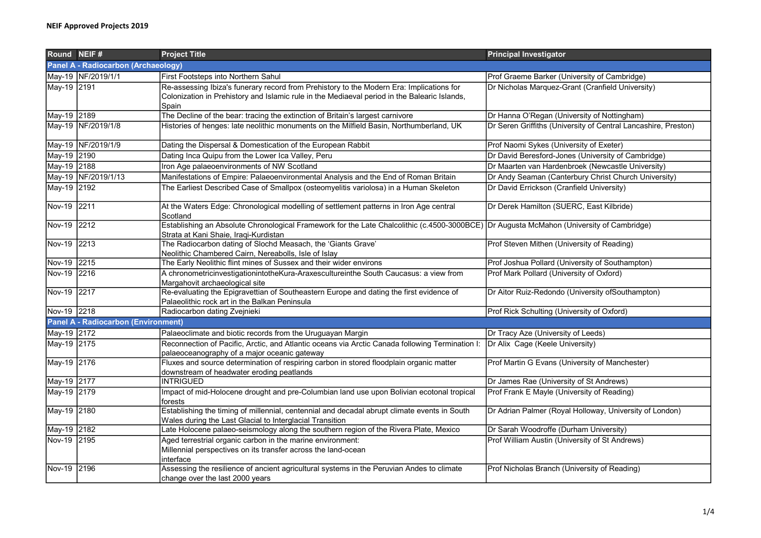| Round NEIF#                                |                     | <b>Project Title</b>                                                                                                                                                                              | <b>Principal Investigator</b>                                  |  |  |  |
|--------------------------------------------|---------------------|---------------------------------------------------------------------------------------------------------------------------------------------------------------------------------------------------|----------------------------------------------------------------|--|--|--|
| <b>Panel A - Radiocarbon (Archaeology)</b> |                     |                                                                                                                                                                                                   |                                                                |  |  |  |
|                                            | May-19 NF/2019/1/1  | <b>First Footsteps into Northern Sahul</b>                                                                                                                                                        | Prof Graeme Barker (University of Cambridge)                   |  |  |  |
| May-19 2191                                |                     | Re-assessing Ibiza's funerary record from Prehistory to the Modern Era: Implications for<br>Colonization in Prehistory and Islamic rule in the Mediaeval period in the Balearic Islands,<br>Spain | Dr Nicholas Marquez-Grant (Cranfield University)               |  |  |  |
| May-19 2189                                |                     | The Decline of the bear: tracing the extinction of Britain's largest carnivore                                                                                                                    | Dr Hanna O'Regan (University of Nottingham)                    |  |  |  |
|                                            | May-19 NF/2019/1/8  | Histories of henges: late neolithic monuments on the Milfield Basin, Northumberland, UK                                                                                                           | Dr Seren Griffiths (University of Central Lancashire, Preston) |  |  |  |
|                                            | May-19 NF/2019/1/9  | Dating the Dispersal & Domestication of the European Rabbit                                                                                                                                       | Prof Naomi Sykes (University of Exeter)                        |  |  |  |
| May-19 2190                                |                     | Dating Inca Quipu from the Lower Ica Valley, Peru                                                                                                                                                 | Dr David Beresford-Jones (University of Cambridge)             |  |  |  |
| May-19 2188                                |                     | Iron Age palaeoenvironments of NW Scotland                                                                                                                                                        | Dr Maarten van Hardenbroek (Newcastle University)              |  |  |  |
|                                            | May-19 NF/2019/1/13 | Manifestations of Empire: Palaeoenvironmental Analysis and the End of Roman Britain                                                                                                               | Dr Andy Seaman (Canterbury Christ Church University)           |  |  |  |
| May-19 2192                                |                     | The Earliest Described Case of Smallpox (osteomyelitis variolosa) in a Human Skeleton                                                                                                             | Dr David Errickson (Cranfield University)                      |  |  |  |
| Nov-19 2211                                |                     | At the Waters Edge: Chronological modelling of settlement patterns in Iron Age central<br>Scotland                                                                                                | Dr Derek Hamilton (SUERC, East Kilbride)                       |  |  |  |
| Nov-19 2212                                |                     | Establishing an Absolute Chronological Framework for the Late Chalcolithic (c.4500-3000BCE) Dr Augusta McMahon (University of Cambridge)<br>Strata at Kani Shaie, Iraqi-Kurdistan                 |                                                                |  |  |  |
| Nov-19 2213                                |                     | The Radiocarbon dating of Slochd Measach, the 'Giants Grave'<br>Neolithic Chambered Cairn, Nereabolls, Isle of Islay                                                                              | Prof Steven Mithen (University of Reading)                     |  |  |  |
| Nov-19 2215                                |                     | The Early Neolithic flint mines of Sussex and their wider environs                                                                                                                                | Prof Joshua Pollard (University of Southampton)                |  |  |  |
| Nov-19 2216                                |                     | A chronometricinvestigationintotheKura-Araxescultureinthe South Caucasus: a view from<br>Margahovit archaeological site                                                                           | Prof Mark Pollard (University of Oxford)                       |  |  |  |
| Nov-19 2217                                |                     | Re-evaluating the Epigravettian of Southeastern Europe and dating the first evidence of<br>Palaeolithic rock art in the Balkan Peninsula                                                          | Dr Aitor Ruiz-Redondo (University ofSouthampton)               |  |  |  |
| Nov-19 2218                                |                     | Radiocarbon dating Zvejnieki                                                                                                                                                                      | Prof Rick Schulting (University of Oxford)                     |  |  |  |
| <b>Panel A - Radiocarbon (Environment)</b> |                     |                                                                                                                                                                                                   |                                                                |  |  |  |
| May-19 2172                                |                     | Palaeoclimate and biotic records from the Uruguayan Margin                                                                                                                                        | Dr Tracy Aze (University of Leeds)                             |  |  |  |
| May-19 2175                                |                     | Reconnection of Pacific, Arctic, and Atlantic oceans via Arctic Canada following Termination I: Dr Alix Cage (Keele University)<br>palaeoceanography of a major oceanic gateway                   |                                                                |  |  |  |
| May-19 2176                                |                     | Fluxes and source determination of respiring carbon in stored floodplain organic matter<br>downstream of headwater eroding peatlands                                                              | Prof Martin G Evans (University of Manchester)                 |  |  |  |
| May-19 2177                                |                     | <b>INTRIGUED</b>                                                                                                                                                                                  | Dr James Rae (University of St Andrews)                        |  |  |  |
| May-19 2179                                |                     | Impact of mid-Holocene drought and pre-Columbian land use upon Bolivian ecotonal tropical<br>forests                                                                                              | Prof Frank E Mayle (University of Reading)                     |  |  |  |
| May-19 2180                                |                     | Establishing the timing of millennial, centennial and decadal abrupt climate events in South<br>Wales during the Last Glacial to Interglacial Transition                                          | Dr Adrian Palmer (Royal Holloway, University of London)        |  |  |  |
| May-19 2182                                |                     | Late Holocene palaeo-seismology along the southern region of the Rivera Plate, Mexico                                                                                                             | Dr Sarah Woodroffe (Durham University)                         |  |  |  |
| Nov-19 2195                                |                     | Aged terrestrial organic carbon in the marine environment:<br>Millennial perspectives on its transfer across the land-ocean<br>interface                                                          | Prof William Austin (University of St Andrews)                 |  |  |  |
| Nov-19 2196                                |                     | Assessing the resilience of ancient agricultural systems in the Peruvian Andes to climate<br>change over the last 2000 years                                                                      | Prof Nicholas Branch (University of Reading)                   |  |  |  |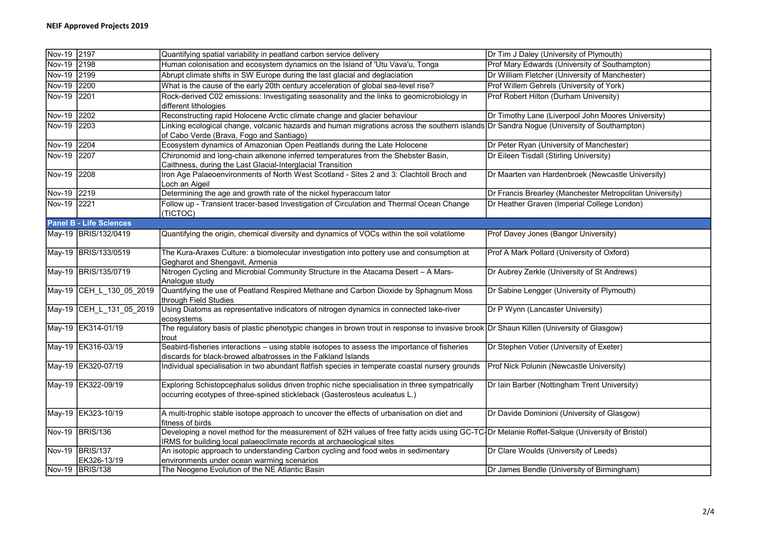| Nov-19 2197 |                                | Quantifying spatial variability in peatland carbon service delivery                                                                                  | Dr Tim J Daley (University of Plymouth)                  |
|-------------|--------------------------------|------------------------------------------------------------------------------------------------------------------------------------------------------|----------------------------------------------------------|
| Nov-19 2198 |                                | Human colonisation and ecosystem dynamics on the Island of 'Utu Vava'u, Tonga                                                                        | Prof Mary Edwards (University of Southampton)            |
| Nov-19 2199 |                                | Abrupt climate shifts in SW Europe during the last glacial and deglaciation                                                                          | Dr William Fletcher (University of Manchester)           |
| Nov-19 2200 |                                | What is the cause of the early 20th century acceleration of global sea-level rise?                                                                   | Prof Willem Gehrels (University of York)                 |
| Nov-19 2201 |                                | Rock-derived C02 emissions: Investigating seasonality and the links to geomicrobiology in                                                            | Prof Robert Hilton (Durham University)                   |
|             |                                | different lithologies                                                                                                                                |                                                          |
| Nov-19 2202 |                                | Reconstructing rapid Holocene Arctic climate change and glacier behaviour                                                                            | Dr Timothy Lane (Liverpool John Moores University)       |
| Nov-19 2203 |                                | Linking ecological change, volcanic hazards and human migrations across the southern islands Dr Sandra Nogue (University of Southampton)             |                                                          |
|             |                                | of Cabo Verde (Brava, Fogo and Santiago)                                                                                                             |                                                          |
| Nov-19 2204 |                                | Ecosystem dynamics of Amazonian Open Peatlands during the Late Holocene                                                                              | Dr Peter Ryan (University of Manchester)                 |
| Nov-19 2207 |                                | Chironomid and long-chain alkenone inferred temperatures from the Shebster Basin,                                                                    | Dr Eileen Tisdall (Stirling University)                  |
|             |                                | Caithness, during the Last Glacial-Interglacial Transition                                                                                           |                                                          |
| Nov-19 2208 |                                | Iron Age Palaeoenvironments of North West Scotland - Sites 2 and 3: Clachtoll Broch and                                                              | Dr Maarten van Hardenbroek (Newcastle University)        |
|             |                                | Loch an Aigeil                                                                                                                                       |                                                          |
| Nov-19 2219 |                                | Determining the age and growth rate of the nickel hyperaccum lator                                                                                   | Dr Francis Brearley (Manchester Metropolitan University) |
| Nov-19 2221 |                                | Follow up - Transient tracer-based Investigation of Circulation and Thermal Ocean Change                                                             | Dr Heather Graven (Imperial College London)              |
|             |                                | (TICTOC)                                                                                                                                             |                                                          |
|             | <b>Panel B - Life Sciences</b> |                                                                                                                                                      |                                                          |
|             | May-19 BRIS/132/0419           | Quantifying the origin, chemical diversity and dynamics of VOCs within the soil volatilome                                                           | Prof Davey Jones (Bangor University)                     |
|             |                                |                                                                                                                                                      |                                                          |
|             | May-19 BRIS/133/0519           | The Kura-Araxes Culture: a biomolecular investigation into pottery use and consumption at                                                            | Prof A Mark Pollard (University of Oxford)               |
|             |                                | Gegharot and Shengavit, Armenia                                                                                                                      |                                                          |
|             | May-19 BRIS/135/0719           | Nitrogen Cycling and Microbial Community Structure in the Atacama Desert - A Mars-                                                                   | Dr Aubrey Zerkle (University of St Andrews)              |
|             |                                | Analogue study                                                                                                                                       |                                                          |
|             | May-19 CEH L_130_05_2019       | Quantifying the use of Peatland Respired Methane and Carbon Dioxide by Sphagnum Moss                                                                 | Dr Sabine Lengger (University of Plymouth)               |
|             |                                | through Field Studies                                                                                                                                |                                                          |
|             | May-19 CEH L 131 05 2019       | Using Diatoms as representative indicators of nitrogen dynamics in connected lake-river                                                              | Dr P Wynn (Lancaster University)                         |
|             |                                | ecosystems                                                                                                                                           |                                                          |
|             | May-19 EK314-01/19             | The regulatory basis of plastic phenotypic changes in brown trout in response to invasive brook Dr Shaun Killen (University of Glasgow)              |                                                          |
|             |                                | trout                                                                                                                                                |                                                          |
|             | May-19 EK316-03/19             | Seabird-fisheries interactions - using stable isotopes to assess the importance of fisheries                                                         | Dr Stephen Votier (University of Exeter)                 |
|             |                                | discards for black-browed albatrosses in the Falkland Islands                                                                                        |                                                          |
|             | May-19 EK320-07/19             | Individual specialisation in two abundant flatfish species in temperate coastal nursery grounds                                                      | Prof Nick Polunin (Newcastle University)                 |
|             | May-19 EK322-09/19             | Exploring Schistopcephalus solidus driven trophic niche specialisation in three sympatrically                                                        | Dr Iain Barber (Nottingham Trent University)             |
|             |                                | occurring ecotypes of three-spined stickleback (Gasterosteus aculeatus L.)                                                                           |                                                          |
|             |                                |                                                                                                                                                      |                                                          |
|             | May-19 EK323-10/19             | A multi-trophic stable isotope approach to uncover the effects of urbanisation on diet and                                                           | Dr Davide Dominioni (University of Glasgow)              |
|             |                                | fitness of birds                                                                                                                                     |                                                          |
|             | Nov-19 BRIS/136                | Developing a novel method for the measurement of $\delta$ 2H values of free fatty acids using GC-TC-Or Melanie Roffet-Salque (University of Bristol) |                                                          |
|             |                                | IRMS for building local palaeoclimate records at archaeological sites                                                                                |                                                          |
|             | Nov-19 BRIS/137                | An isotopic approach to understanding Carbon cycling and food webs in sedimentary                                                                    | Dr Clare Woulds (University of Leeds)                    |
|             | EK326-13/19                    | environments under ocean warming scenarios                                                                                                           |                                                          |
|             | Nov-19 BRIS/138                | The Neogene Evolution of the NE Atlantic Basin                                                                                                       | Dr James Bendle (University of Birmingham)               |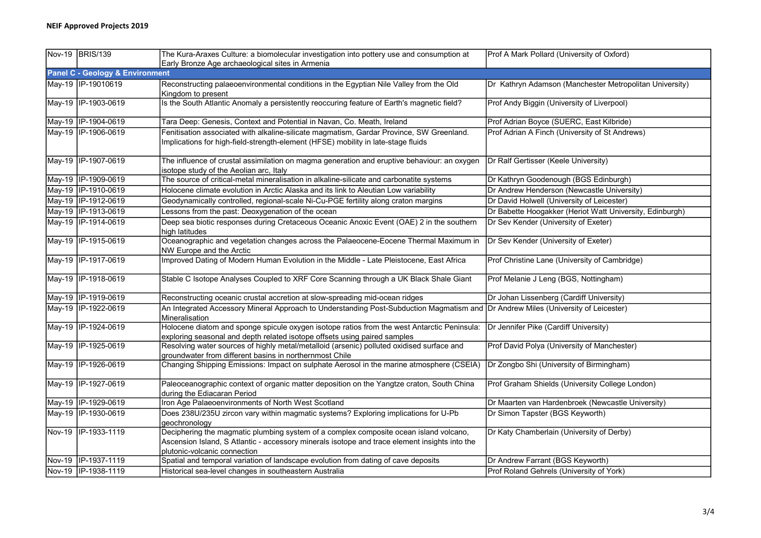| Nov-19 BRIS/139                            | The Kura-Araxes Culture: a biomolecular investigation into pottery use and consumption at<br>Early Bronze Age archaeological sites in Armenia                                                                          | Prof A Mark Pollard (University of Oxford)               |
|--------------------------------------------|------------------------------------------------------------------------------------------------------------------------------------------------------------------------------------------------------------------------|----------------------------------------------------------|
| <b>Panel C - Geology &amp; Environment</b> |                                                                                                                                                                                                                        |                                                          |
| May-19   IP-19010619                       | Reconstructing palaeoenvironmental conditions in the Egyptian Nile Valley from the Old<br>Kingdom to present                                                                                                           | Dr Kathryn Adamson (Manchester Metropolitan University)  |
| May-19 IP-1903-0619                        | Is the South Atlantic Anomaly a persistently reoccuring feature of Earth's magnetic field?                                                                                                                             | Prof Andy Biggin (University of Liverpool)               |
| May-19 IP-1904-0619                        | Tara Deep: Genesis, Context and Potential in Navan, Co. Meath, Ireland                                                                                                                                                 | Prof Adrian Boyce (SUERC, East Kilbride)                 |
| May-19 IP-1906-0619                        | Fenitisation associated with alkaline-silicate magmatism, Gardar Province, SW Greenland.<br>Implications for high-field-strength-element (HFSE) mobility in late-stage fluids                                          | Prof Adrian A Finch (University of St Andrews)           |
| May-19 IP-1907-0619                        | The influence of crustal assimilation on magma generation and eruptive behaviour: an oxygen<br>isotope study of the Aeolian arc, Italy                                                                                 | Dr Ralf Gertisser (Keele University)                     |
| May-19  IP-1909-0619                       | The source of critical-metal mineralisation in alkaline-silicate and carbonatite systems                                                                                                                               | Dr Kathryn Goodenough (BGS Edinburgh)                    |
| May-19 IP-1910-0619                        | Holocene climate evolution in Arctic Alaska and its link to Aleutian Low variability                                                                                                                                   | Dr Andrew Henderson (Newcastle University)               |
| May-19 IP-1912-0619                        | Geodynamically controlled, regional-scale Ni-Cu-PGE fertility along craton margins                                                                                                                                     | Dr David Holwell (University of Leicester)               |
| May-19   IP-1913-0619                      | Lessons from the past: Deoxygenation of the ocean                                                                                                                                                                      | Dr Babette Hoogakker (Heriot Watt University, Edinburgh) |
| May-19 IP-1914-0619                        | Deep sea biotic responses during Cretaceous Oceanic Anoxic Event (OAE) 2 in the southern<br>high latitudes                                                                                                             | Dr Sev Kender (University of Exeter)                     |
| May-19   IP-1915-0619                      | Oceanographic and vegetation changes across the Palaeocene-Eocene Thermal Maximum in<br>NW Europe and the Arctic                                                                                                       | Dr Sev Kender (University of Exeter)                     |
| May-19 IP-1917-0619                        | Improved Dating of Modern Human Evolution in the Middle - Late Pleistocene, East Africa                                                                                                                                | Prof Christine Lane (University of Cambridge)            |
| May-19   IP-1918-0619                      | Stable C Isotope Analyses Coupled to XRF Core Scanning through a UK Black Shale Giant                                                                                                                                  | Prof Melanie J Leng (BGS, Nottingham)                    |
| May-19 IP-1919-0619                        | Reconstructing oceanic crustal accretion at slow-spreading mid-ocean ridges                                                                                                                                            | Dr Johan Lissenberg (Cardiff University)                 |
| May-19 IP-1922-0619                        | An Integrated Accessory Mineral Approach to Understanding Post-Subduction Magmatism and Dr Andrew Miles (University of Leicester)<br>Mineralisation                                                                    |                                                          |
| May-19 IP-1924-0619                        | Holocene diatom and sponge spicule oxygen isotope ratios from the west Antarctic Peninsula:   Dr Jennifer Pike (Cardiff University)<br>exploring seasonal and depth related isotope offsets using paired samples       |                                                          |
| May-19 IP-1925-0619                        | Resolving water sources of highly metal/metalloid (arsenic) polluted oxidised surface and<br>groundwater from different basins in northernmost Chile                                                                   | Prof David Polya (University of Manchester)              |
| May-19 IP-1926-0619                        | Changing Shipping Emissions: Impact on sulphate Aerosol in the marine atmosphere (CSEIA)                                                                                                                               | Dr Zongbo Shi (University of Birmingham)                 |
| May-19   IP-1927-0619                      | Paleoceanographic context of organic matter deposition on the Yangtze craton, South China<br>during the Ediacaran Period                                                                                               | Prof Graham Shields (University College London)          |
| May-19  IP-1929-0619                       | Iron Age Palaeoenvironments of North West Scotland                                                                                                                                                                     | Dr Maarten van Hardenbroek (Newcastle University)        |
| May-19  IP-1930-0619                       | Does 238U/235U zircon vary within magmatic systems? Exploring implications for U-Pb<br>geochronology                                                                                                                   | Dr Simon Tapster (BGS Keyworth)                          |
| Nov-19 IP-1933-1119                        | Deciphering the magmatic plumbing system of a complex composite ocean island volcano,<br>Ascension Island, S Atlantic - accessory minerals isotope and trace element insights into the<br>plutonic-volcanic connection | Dr Katy Chamberlain (University of Derby)                |
| Nov-19  IP-1937-1119                       | Spatial and temporal variation of landscape evolution from dating of cave deposits                                                                                                                                     | Dr Andrew Farrant (BGS Keyworth)                         |
| Nov-19 IP-1938-1119                        | Historical sea-level changes in southeastern Australia                                                                                                                                                                 | Prof Roland Gehrels (University of York)                 |